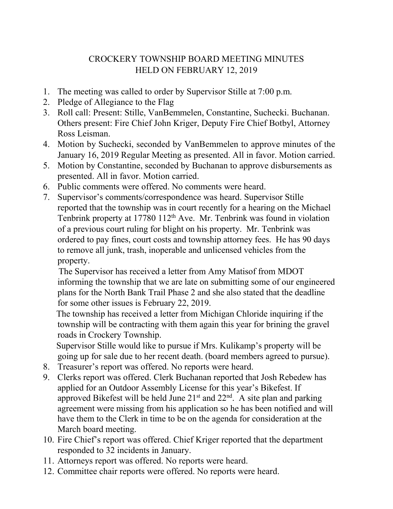## CROCKERY TOWNSHIP BOARD MEETING MINUTES HELD ON FEBRUARY 12, 2019

- 1. The meeting was called to order by Supervisor Stille at 7:00 p.m.
- 2. Pledge of Allegiance to the Flag
- 3. Roll call: Present: Stille, VanBemmelen, Constantine, Suchecki. Buchanan. Others present: Fire Chief John Kriger, Deputy Fire Chief Botbyl, Attorney Ross Leisman.
- 4. Motion by Suchecki, seconded by VanBemmelen to approve minutes of the January 16, 2019 Regular Meeting as presented. All in favor. Motion carried.
- 5. Motion by Constantine, seconded by Buchanan to approve disbursements as presented. All in favor. Motion carried.
- 6. Public comments were offered. No comments were heard.
- 7. Supervisor's comments/correspondence was heard. Supervisor Stille reported that the township was in court recently for a hearing on the Michael Tenbrink property at 17780 112<sup>th</sup> Ave. Mr. Tenbrink was found in violation of a previous court ruling for blight on his property. Mr. Tenbrink was ordered to pay fines, court costs and township attorney fees. He has 90 days to remove all junk, trash, inoperable and unlicensed vehicles from the property.

 The Supervisor has received a letter from Amy Matisof from MDOT informing the township that we are late on submitting some of our engineered plans for the North Bank Trail Phase 2 and she also stated that the deadline for some other issues is February 22, 2019.

 The township has received a letter from Michigan Chloride inquiring if the township will be contracting with them again this year for brining the gravel roads in Crockery Township.

 Supervisor Stille would like to pursue if Mrs. Kulikamp's property will be going up for sale due to her recent death. (board members agreed to pursue).

- 8. Treasurer's report was offered. No reports were heard.
- 9. Clerks report was offered. Clerk Buchanan reported that Josh Rebedew has applied for an Outdoor Assembly License for this year's Bikefest. If approved Bikefest will be held June  $21<sup>st</sup>$  and  $22<sup>nd</sup>$ . A site plan and parking agreement were missing from his application so he has been notified and will have them to the Clerk in time to be on the agenda for consideration at the March board meeting.
- 10. Fire Chief's report was offered. Chief Kriger reported that the department responded to 32 incidents in January.
- 11. Attorneys report was offered. No reports were heard.
- 12. Committee chair reports were offered. No reports were heard.